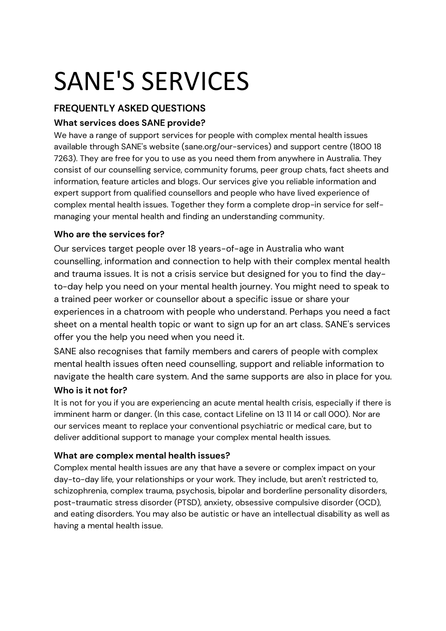# SANE'S SERVICES

# **FREQUENTLY ASKED QUESTIONS**

# **What services does SANE provide?**

We have a range of support services for people with complex mental health issues available through SANE's website (sane.org/our-services) and support centre (1800 18 7263). They are free for you to use as you need them from anywhere in Australia. They consist of our counselling service, community forums, peer group chats, fact sheets and information, feature articles and blogs. Our services give you reliable information and expert support from qualified counsellors and people who have lived experience of complex mental health issues. Together they form a complete drop-in service for selfmanaging your mental health and finding an understanding community.

# **Who are the services for?**

Our services target people over 18 years-of-age in Australia who want counselling, information and connection to help with their complex mental health and trauma issues. It is not a crisis service but designed for you to find the dayto-day help you need on your mental health journey. You might need to speak to a trained peer worker or counsellor about a specific issue or share your experiences in a chatroom with people who understand. Perhaps you need a fact sheet on a mental health topic or want to sign up for an art class. SANE's services offer you the help you need when you need it.

SANE also recognises that family members and carers of people with complex mental health issues often need counselling, support and reliable information to navigate the health care system. And the same supports are also in place for you.

# **Who is it not for?**

It is not for you if you are experiencing an acute mental health crisis, especially if there is imminent harm or danger. (In this case, contact Lifeline on 13 11 14 or call 000). Nor are our services meant to replace your conventional psychiatric or medical care, but to deliver additional support to manage your complex mental health issues.

# **What are complex mental health issues?**

Complex mental health issues are any that have a severe or complex impact on your day-to-day life, your relationships or your work. They include, but aren't restricted to, schizophrenia, complex trauma, psychosis, bipolar and borderline personality disorders, post-traumatic stress disorder (PTSD), anxiety, obsessive compulsive disorder (OCD), and eating disorders. You may also be autistic or have an intellectual disability as well as having a mental health issue.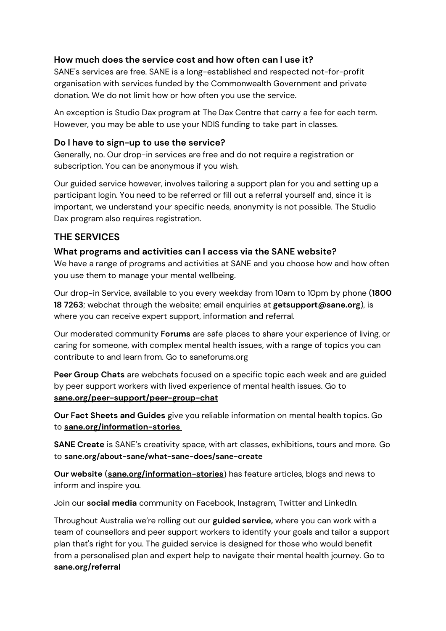#### **How much does the service cost and how often can I use it?**

SANE's services are free. SANE is a long-established and respected not-for-profit organisation with services funded by the Commonwealth Government and private donation. We do not limit how or how often you use the service.

An exception is Studio Dax program at The Dax Centre that carry a fee for each term. However, you may be able to use your NDIS funding to take part in classes.

#### **Do I have to sign-up to use the service?**

Generally, no. Our drop-in services are free and do not require a registration or subscription. You can be anonymous if you wish.

Our guided service however, involves tailoring a support plan for you and setting up a participant login. You need to be referred or fill out a referral yourself and, since it is important, we understand your specific needs, anonymity is not possible. The Studio Dax program also requires registration.

# **THE SERVICES**

#### **What programs and activities can I access via the SANE website?**

We have a range of programs and activities at SANE and you choose how and how often you use them to manage your mental wellbeing.

Our drop-in Service, available to you every weekday from 10am to 10pm by phone (**1800 18 7263**; webchat through the website; email enquiries at **getsupport@sane.org**), is where you can receive expert support, information and referral.

Our moderated community **Forums** are safe places to share your experience of living, or caring for someone, with complex mental health issues, with a range of topics you can contribute to and learn from. Go to saneforums.org

**Peer Group Chats** are webchats focused on a specific topic each week and are guided by peer support workers with lived experience of mental health issues. Go to **[sane.org/peer-support/peer-group-chat](http://sane.org/peer-support/peer-group-chat)**

**Our Fact Sheets and Guides** give you reliable information on mental health topics. Go to **[sane.org/information-stories](http://sane.org/information-stories)**

**SANE Create** is SANE's creativity space, with art classes, exhibitions, tours and more. Go to **[sane.org/about-sane/what-sane-does/sane-create](http://sane.org/about-sane/what-sane-does/sane-create)**

**Our website** (**[sane.org/information-stories](http://sane.org/information-stories)**) has feature articles, blogs and news to inform and inspire you.

Join our **social media** community on Facebook, Instagram, Twitter and LinkedIn.

Throughout Australia we're rolling out our **guided service,** where you can work with a team of counsellors and peer support workers to identify your goals and tailor a support plan that's right for you. The guided service is designed for those who would benefit from a personalised plan and expert help to navigate their mental health journey. Go to **[sane.org/referral](http://sane.org/referral)**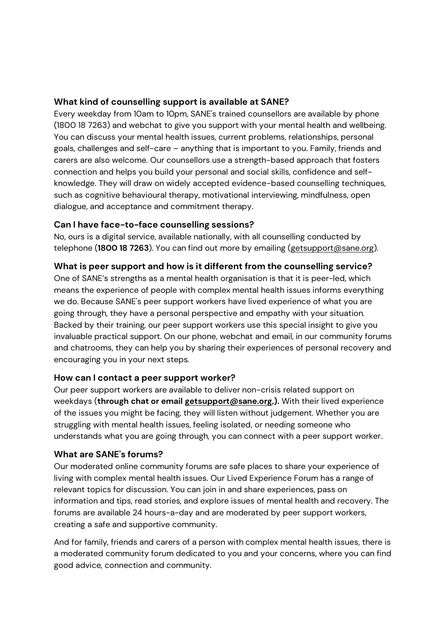#### **What kind of counselling support is available at SANE?**

Every weekday from 10am to 10pm, SANE's trained counsellors are available by phone (1800 18 7263) and webchat to give you support with your mental health and wellbeing. You can discuss your mental health issues, current problems, relationships, personal goals, challenges and self-care – anything that is important to you. Family, friends and carers are also welcome. Our counsellors use a strength-based approach that fosters connection and helps you build your personal and social skills, confidence and selfknowledge. They will draw on widely accepted evidence-based counselling techniques, such as cognitive behavioural therapy, motivational interviewing, mindfulness, open dialogue, and acceptance and commitment therapy.

#### **Can I have face-to-face counselling sessions?**

No, ours is a digital service, available nationally, with all counselling conducted by telephone (**1800 18 7263**). You can find out more by emailing [\(getsupport@sane.org\)](mailto:getsupport@sane.org).

#### **What is peer support and how is it different from the counselling service?**

One of SANE's strengths as a mental health organisation is that it is peer-led, which means the experience of people with complex mental health issues informs everything we do. Because SANE's peer support workers have lived experience of what you are going through, they have a personal perspective and empathy with your situation. Backed by their training, our peer support workers use this special insight to give you invaluable practical support. On our phone, webchat and email, in our community forums and chatrooms, they can help you by sharing their experiences of personal recovery and encouraging you in your next steps.

#### **How can I contact a peer support worker?**

Our peer support workers are available to deliver non-crisis related support on weekdays (**through chat or emai[l getsupport@sane.org,\)](mailto:getsupport@sane.org).** With their lived experience of the issues you might be facing, they will listen without judgement. Whether you are struggling with mental health issues, feeling isolated, or needing someone who understands what you are going through, you can connect with a peer support worker.

#### **What are SANE's forums?**

Our moderated online community forums are safe places to share your experience of living with complex mental health issues. Our Lived Experience Forum has a range of relevant topics for discussion. You can join in and share experiences, pass on information and tips, read stories, and explore issues of mental health and recovery. The forums are available 24 hours-a-day and are moderated by peer support workers, creating a safe and supportive community.

And for family, friends and carers of a person with complex mental health issues, there is a moderated community forum dedicated to you and your concerns, where you can find good advice, connection and community.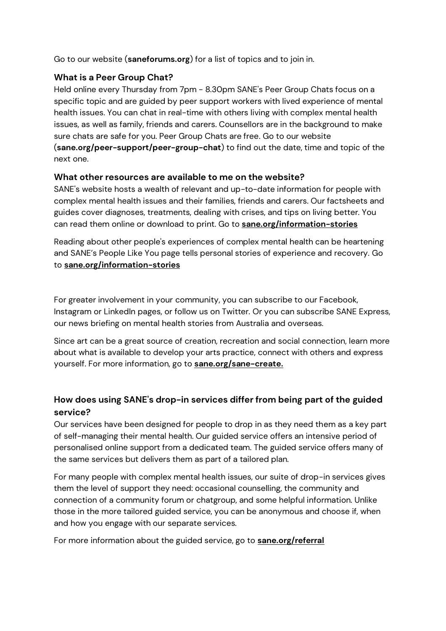Go to our website (**saneforums.org**) for a list of topics and to join in.

#### **What is a Peer Group Chat?**

Held online every Thursday from 7pm - 8.30pm SANE's Peer Group Chats focus on a specific topic and are guided by peer support workers with lived experience of mental health issues. You can chat in real-time with others living with complex mental health issues, as well as family, friends and carers. Counsellors are in the background to make sure chats are safe for you. Peer Group Chats are free. Go to our website (**sane.org/peer-support/peer-group-chat**) to find out the date, time and topic of the next one.

#### **What other resources are available to me on the website?**

SANE's website hosts a wealth of relevant and up-to-date information for people with complex mental health issues and their families, friends and carers. Our factsheets and guides cover diagnoses, treatments, dealing with crises, and tips on living better. You can read them online or download to print. Go to **[sane.org/information-stories](http://sane.org/information-stories)**

Reading about other people's experiences of complex mental health can be heartening and SANE's People Like You page tells personal stories of experience and recovery. Go to **[sane.org/information-stories](http://sane.org/information-stories)**

For greater involvement in your community, you can subscribe to our Facebook, Instagram or LinkedIn pages, or follow us on Twitter. Or you can subscribe SANE Express, our news briefing on mental health stories from Australia and overseas.

Since art can be a great source of creation, recreation and social connection, learn more about what is available to develop your arts practice, connect with others and express yourself. For more information, go to **[sane.org/sane-create.](http://sane.org/sane-create.)**

# **How does using SANE's drop-in services differ from being part of the guided service?**

Our services have been designed for people to drop in as they need them as a key part of self-managing their mental health. Our guided service offers an intensive period of personalised online support from a dedicated team. The guided service offers many of the same services but delivers them as part of a tailored plan.

For many people with complex mental health issues, our suite of drop-in services gives them the level of support they need: occasional counselling, the community and connection of a community forum or chatgroup, and some helpful information. Unlike those in the more tailored guided service, you can be anonymous and choose if, when and how you engage with our separate services.

For more information about the guided service, go to **[sane.org/referral](http://sane.org/referral)**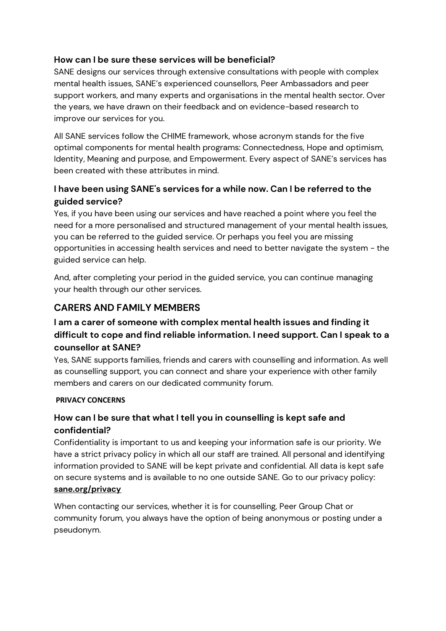#### **How can I be sure these services will be beneficial?**

SANE designs our services through extensive consultations with people with complex mental health issues, SANE's experienced counsellors, Peer Ambassadors and peer support workers, and many experts and organisations in the mental health sector. Over the years, we have drawn on their feedback and on evidence-based research to improve our services for you.

All SANE services follow the CHIME framework, whose acronym stands for the five optimal components for mental health programs: Connectedness, Hope and optimism, Identity, Meaning and purpose, and Empowerment. Every aspect of SANE's services has been created with these attributes in mind.

### **I have been using SANE's services for a while now. Can I be referred to the guided service?**

Yes, if you have been using our services and have reached a point where you feel the need for a more personalised and structured management of your mental health issues, you can be referred to the guided service. Or perhaps you feel you are missing opportunities in accessing health services and need to better navigate the system - the guided service can help.

And, after completing your period in the guided service, you can continue managing your health through our other services.

# **CARERS AND FAMILY MEMBERS**

# **I am a carer of someone with complex mental health issues and finding it difficult to cope and find reliable information. I need support. Can I speak to a counsellor at SANE?**

Yes, SANE supports families, friends and carers with counselling and information. As well as counselling support, you can connect and share your experience with other family members and carers on our dedicated community forum.

#### **PRIVACY CONCERNS**

# **How can I be sure that what I tell you in counselling is kept safe and confidential?**

Confidentiality is important to us and keeping your information safe is our priority. We have a strict privacy policy in which all our staff are trained. All personal and identifying information provided to SANE will be kept private and confidential. All data is kept safe on secure systems and is available to no one outside SANE. Go to our privacy policy: **[sane.org/privacy](http://sane.org/privacy)**

When contacting our services, whether it is for counselling, Peer Group Chat or community forum, you always have the option of being anonymous or posting under a pseudonym.